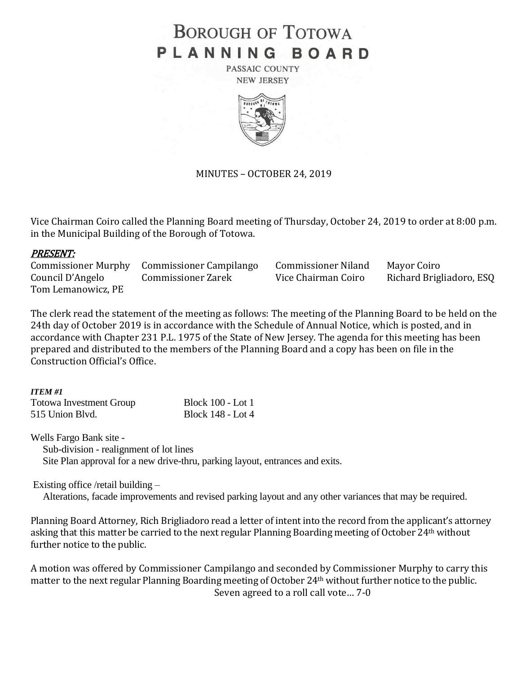# **BOROUGH OF TOTOWA** PLANNING BOARD

PASSAIC COUNTY **NEW JERSEY** 



MINUTES – OCTOBER 24, 2019

Vice Chairman Coiro called the Planning Board meeting of Thursday, October 24, 2019 to order at 8:00 p.m. in the Municipal Building of the Borough of Totowa.

## PRESENT:

Commissioner Murphy Commissioner Campilango Commissioner Niland Mayor Coiro Council D'Angelo Commissioner Zarek Vice Chairman Coiro Richard Brigliadoro, ESQ Tom Lemanowicz, PE

The clerk read the statement of the meeting as follows: The meeting of the Planning Board to be held on the 24th day of October 2019 is in accordance with the Schedule of Annual Notice, which is posted, and in accordance with Chapter 231 P.L. 1975 of the State of New Jersey. The agenda for this meeting has been prepared and distributed to the members of the Planning Board and a copy has been on file in the Construction Official's Office.

#### *ITEM #1*

| <b>Totowa Investment Group</b> | <b>Block 100 - Lot 1</b> |
|--------------------------------|--------------------------|
| 515 Union Blvd.                | Block 148 - Lot 4        |

Wells Fargo Bank site -

Sub-division - realignment of lot lines

Site Plan approval for a new drive-thru, parking layout, entrances and exits.

Existing office /retail building –

Alterations, facade improvements and revised parking layout and any other variances that may be required.

Planning Board Attorney, Rich Brigliadoro read a letter of intent into the record from the applicant's attorney asking that this matter be carried to the next regular Planning Boarding meeting of October 24<sup>th</sup> without further notice to the public.

A motion was offered by Commissioner Campilango and seconded by Commissioner Murphy to carry this matter to the next regular Planning Boarding meeting of October 24th without further notice to the public. Seven agreed to a roll call vote… 7-0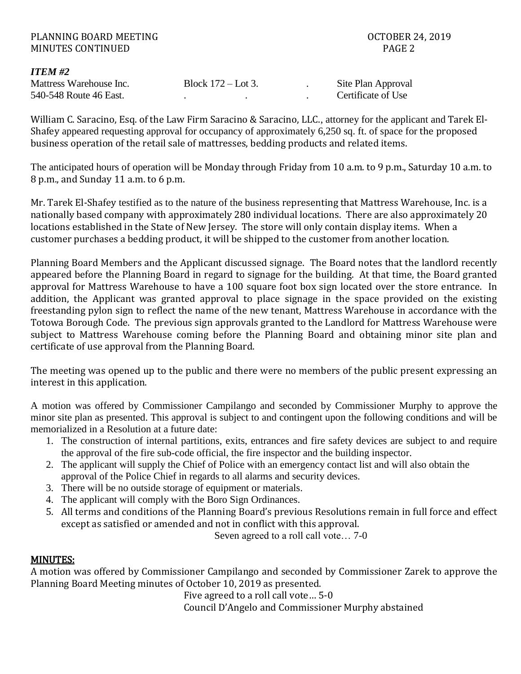| PLANNING BOARD MEETING   |  |                      |  | <b>OCTOBER 24, 2019</b> |  |  |
|--------------------------|--|----------------------|--|-------------------------|--|--|
| <b>MINUTES CONTINUED</b> |  |                      |  | PAGE 2                  |  |  |
| <b>ITEM #2</b>           |  |                      |  |                         |  |  |
| Mattress Warehouse Inc.  |  | Block $172 -$ Lot 3. |  | Site Plan Approval      |  |  |
| 540-548 Route 46 East.   |  |                      |  | Certificate of Use      |  |  |

William C. Saracino, Esq. of the Law Firm Saracino & Saracino, LLC., attorney for the applicant and Tarek El-Shafey appeared requesting approval for occupancy of approximately 6,250 sq. ft. of space for the proposed business operation of the retail sale of mattresses, bedding products and related items.

The anticipated hours of operation will be Monday through Friday from 10 a.m. to 9 p.m., Saturday 10 a.m. to 8 p.m., and Sunday 11 a.m. to 6 p.m.

Mr. Tarek El-Shafey testified as to the nature of the business representing that Mattress Warehouse, Inc. is a nationally based company with approximately 280 individual locations. There are also approximately 20 locations established in the State of New Jersey. The store will only contain display items. When a customer purchases a bedding product, it will be shipped to the customer from another location.

Planning Board Members and the Applicant discussed signage. The Board notes that the landlord recently appeared before the Planning Board in regard to signage for the building. At that time, the Board granted approval for Mattress Warehouse to have a 100 square foot box sign located over the store entrance. In addition, the Applicant was granted approval to place signage in the space provided on the existing freestanding pylon sign to reflect the name of the new tenant, Mattress Warehouse in accordance with the Totowa Borough Code. The previous sign approvals granted to the Landlord for Mattress Warehouse were subject to Mattress Warehouse coming before the Planning Board and obtaining minor site plan and certificate of use approval from the Planning Board.

The meeting was opened up to the public and there were no members of the public present expressing an interest in this application.

A motion was offered by Commissioner Campilango and seconded by Commissioner Murphy to approve the minor site plan as presented. This approval is subject to and contingent upon the following conditions and will be memorialized in a Resolution at a future date:

- 1. The construction of internal partitions, exits, entrances and fire safety devices are subject to and require the approval of the fire sub-code official, the fire inspector and the building inspector.
- 2. The applicant will supply the Chief of Police with an emergency contact list and will also obtain the approval of the Police Chief in regards to all alarms and security devices.
- 3. There will be no outside storage of equipment or materials.
- 4. The applicant will comply with the Boro Sign Ordinances.
- 5. All terms and conditions of the Planning Board's previous Resolutions remain in full force and effect except as satisfied or amended and not in conflict with this approval.

Seven agreed to a roll call vote… 7-0

# MINUTES:

A motion was offered by Commissioner Campilango and seconded by Commissioner Zarek to approve the Planning Board Meeting minutes of October 10, 2019 as presented.

Five agreed to a roll call vote… 5-0 Council D'Angelo and Commissioner Murphy abstained